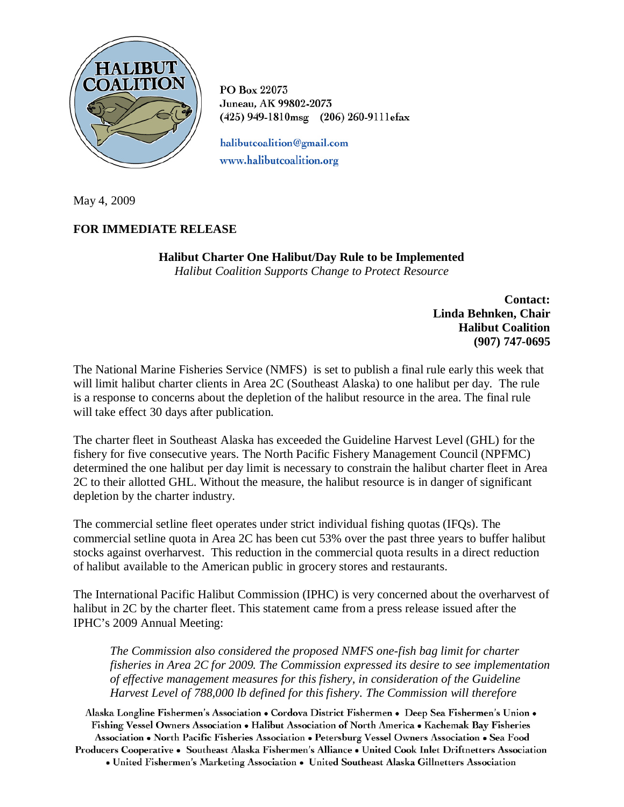

PO Box 22073 Juneau, AK 99802-2073 (425) 949-1810msg (206) 260-9111efax

halibutcoalition@gmail.com www.halibutcoalition.org

May 4, 2009

## **FOR IMMEDIATE RELEASE**

**Halibut Charter One Halibut/Day Rule to be Implemented** *Halibut Coalition Supports Change to Protect Resource*

> **Contact: Linda Behnken, Chair Halibut Coalition (907) 747-0695**

The National Marine Fisheries Service (NMFS) is set to publish a final rule early this week that will limit halibut charter clients in Area 2C (Southeast Alaska) to one halibut per day. The rule is a response to concerns about the depletion of the halibut resource in the area. The final rule will take effect 30 days after publication.

The charter fleet in Southeast Alaska has exceeded the Guideline Harvest Level (GHL) for the fishery for five consecutive years. The North Pacific Fishery Management Council (NPFMC) determined the one halibut per day limit is necessary to constrain the halibut charter fleet in Area 2C to their allotted GHL. Without the measure, the halibut resource is in danger of significant depletion by the charter industry.

The commercial setline fleet operates under strict individual fishing quotas (IFQs). The commercial setline quota in Area 2C has been cut 53% over the past three years to buffer halibut stocks against overharvest. This reduction in the commercial quota results in a direct reduction of halibut available to the American public in grocery stores and restaurants.

The International Pacific Halibut Commission (IPHC) is very concerned about the overharvest of halibut in 2C by the charter fleet. This statement came from a press release issued after the IPHC's 2009 Annual Meeting:

*The Commission also considered the proposed NMFS one-fish bag limit for charter fisheries in Area 2C for 2009. The Commission expressed its desire to see implementation of effective management measures for this fishery, in consideration of the Guideline Harvest Level of 788,000 lb defined for this fishery. The Commission will therefore* 

Alaska Longline Fishermen's Association • Cordova District Fishermen • Deep Sea Fishermen's Union • Fishing Vessel Owners Association . Halibut Association of North America . Kachemak Bay Fisheries Association • North Pacific Fisheries Association • Petersburg Vessel Owners Association • Sea Food Producers Cooperative • Southeast Alaska Fishermen's Alliance • United Cook Inlet Driftnetters Association • United Fishermen's Marketing Association • United Southeast Alaska Gillnetters Association